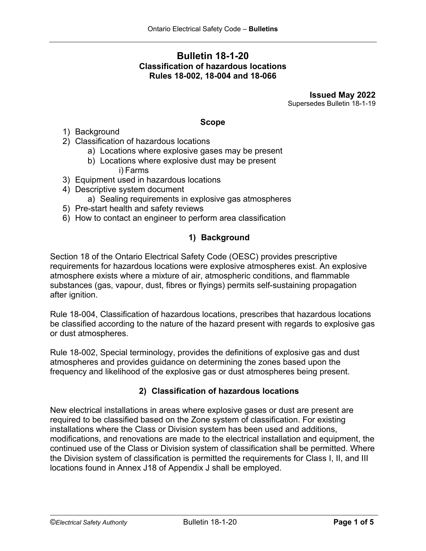# **Bulletin 18-1-20 Classification of hazardous locations Rules 18-002, 18-004 and 18-066**

**Issued May 2022** Supersedes Bulletin 18-1-19

### **Scope**

- 1) Background
- 2) Classification of hazardous locations
	- a) Locations where explosive gases may be present
	- b) Locations where explosive dust may be present i) Farms
- 3) Equipment used in hazardous locations
- 4) Descriptive system document
	- a) Sealing requirements in explosive gas atmospheres
- 5) Pre-start health and safety reviews
- 6) How to contact an engineer to perform area classification

# **1) Background**

Section 18 of the Ontario Electrical Safety Code (OESC) provides prescriptive requirements for hazardous locations were explosive atmospheres exist. An explosive atmosphere exists where a mixture of air, atmospheric conditions, and flammable substances (gas, vapour, dust, fibres or flyings) permits self-sustaining propagation after ignition.

Rule 18-004, Classification of hazardous locations, prescribes that hazardous locations be classified according to the nature of the hazard present with regards to explosive gas or dust atmospheres.

Rule 18-002, Special terminology, provides the definitions of explosive gas and dust atmospheres and provides guidance on determining the zones based upon the frequency and likelihood of the explosive gas or dust atmospheres being present.

## **2) Classification of hazardous locations**

New electrical installations in areas where explosive gases or dust are present are required to be classified based on the Zone system of classification. For existing installations where the Class or Division system has been used and additions, modifications, and renovations are made to the electrical installation and equipment, the continued use of the Class or Division system of classification shall be permitted. Where the Division system of classification is permitted the requirements for Class I, II, and III locations found in Annex J18 of Appendix J shall be employed.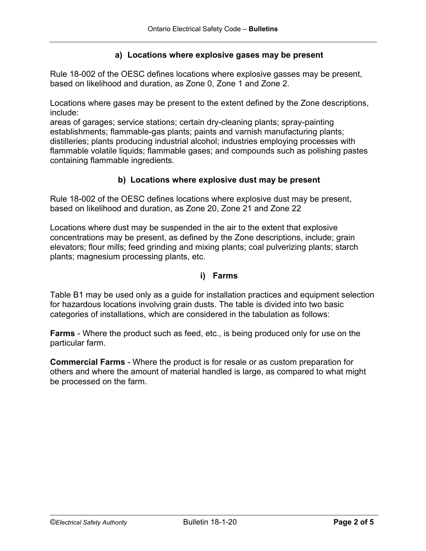## **a) Locations where explosive gases may be present**

Rule 18-002 of the OESC defines locations where explosive gasses may be present, based on likelihood and duration, as Zone 0, Zone 1 and Zone 2.

Locations where gases may be present to the extent defined by the Zone descriptions, include:

areas of garages; service stations; certain dry-cleaning plants; spray-painting establishments; flammable-gas plants; paints and varnish manufacturing plants; distilleries; plants producing industrial alcohol; industries employing processes with flammable volatile liquids; flammable gases; and compounds such as polishing pastes containing flammable ingredients.

# **b) Locations where explosive dust may be present**

Rule 18-002 of the OESC defines locations where explosive dust may be present, based on likelihood and duration, as Zone 20, Zone 21 and Zone 22

Locations where dust may be suspended in the air to the extent that explosive concentrations may be present, as defined by the Zone descriptions, include; grain elevators; flour mills; feed grinding and mixing plants; coal pulverizing plants; starch plants; magnesium processing plants, etc.

## **i) Farms**

Table B1 may be used only as a guide for installation practices and equipment selection for hazardous locations involving grain dusts. The table is divided into two basic categories of installations, which are considered in the tabulation as follows:

**Farms** - Where the product such as feed, etc., is being produced only for use on the particular farm.

**Commercial Farms** - Where the product is for resale or as custom preparation for others and where the amount of material handled is large, as compared to what might be processed on the farm.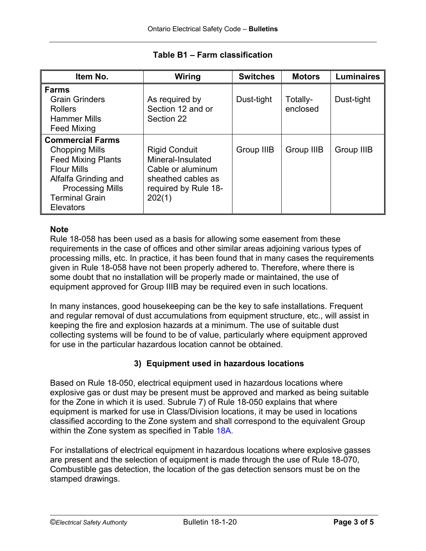| Item No.                                                                                                                                                                                            | Wiring                                                                                                                 | <b>Switches</b> | <b>Motors</b>        | <b>Luminaires</b> |
|-----------------------------------------------------------------------------------------------------------------------------------------------------------------------------------------------------|------------------------------------------------------------------------------------------------------------------------|-----------------|----------------------|-------------------|
| <b>Farms</b><br><b>Grain Grinders</b><br><b>Rollers</b><br><b>Hammer Mills</b><br><b>Feed Mixing</b>                                                                                                | As required by<br>Section 12 and or<br>Section 22                                                                      | Dust-tight      | Totally-<br>enclosed | Dust-tight        |
| <b>Commercial Farms</b><br><b>Chopping Mills</b><br><b>Feed Mixing Plants</b><br><b>Flour Mills</b><br>Alfalfa Grinding and<br><b>Processing Mills</b><br><b>Terminal Grain</b><br><b>Elevators</b> | <b>Rigid Conduit</b><br>Mineral-Insulated<br>Cable or aluminum<br>sheathed cables as<br>required by Rule 18-<br>202(1) | Group IIIB      | Group IIIB           | Group IIIB        |

# **Table B1 – Farm classification**

# **Note**

Rule 18-058 has been used as a basis for allowing some easement from these requirements in the case of offices and other similar areas adjoining various types of processing mills, etc. In practice, it has been found that in many cases the requirements given in Rule 18-058 have not been properly adhered to. Therefore, where there is some doubt that no installation will be properly made or maintained, the use of equipment approved for Group IIIB may be required even in such locations.

In many instances, good housekeeping can be the key to safe installations. Frequent and regular removal of dust accumulations from equipment structure, etc., will assist in keeping the fire and explosion hazards at a minimum. The use of suitable dust collecting systems will be found to be of value, particularly where equipment approved for use in the particular hazardous location cannot be obtained.

# **3) Equipment used in hazardous locations**

Based on Rule 18-050, electrical equipment used in hazardous locations where explosive gas or dust may be present must be approved and marked as being suitable for the Zone in which it is used. Subrule 7) of Rule 18-050 explains that where equipment is marked for use in Class/Division locations, it may be used in locations classified according to the Zone system and shall correspond to the equivalent Group within the Zone system as specified in Table 18A.

For installations of electrical equipment in hazardous locations where explosive gasses are present and the selection of equipment is made through the use of Rule 18-070, Combustible gas detection, the location of the gas detection sensors must be on the stamped drawings.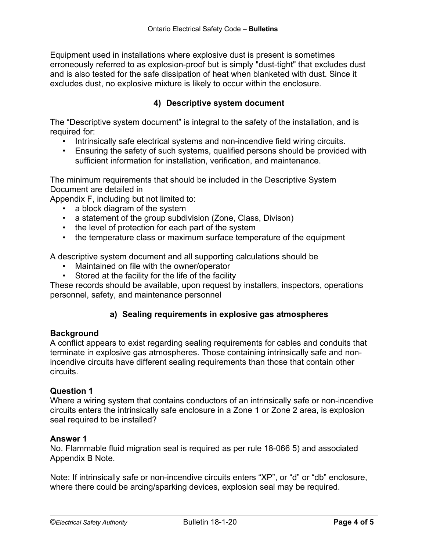Equipment used in installations where explosive dust is present is sometimes erroneously referred to as explosion-proof but is simply "dust-tight" that excludes dust and is also tested for the safe dissipation of heat when blanketed with dust. Since it excludes dust, no explosive mixture is likely to occur within the enclosure.

# **4) Descriptive system document**

The "Descriptive system document" is integral to the safety of the installation, and is required for:

- Intrinsically safe electrical systems and non-incendive field wiring circuits.
- Ensuring the safety of such systems, qualified persons should be provided with sufficient information for installation, verification, and maintenance.

The minimum requirements that should be included in the Descriptive System Document are detailed in

Appendix F, including but not limited to:

- a block diagram of the system
- a statement of the group subdivision (Zone, Class, Divison)
- the level of protection for each part of the system
- the temperature class or maximum surface temperature of the equipment

A descriptive system document and all supporting calculations should be

- Maintained on file with the owner/operator
- Stored at the facility for the life of the facility

These records should be available, upon request by installers, inspectors, operations personnel, safety, and maintenance personnel

## **a) Sealing requirements in explosive gas atmospheres**

### **Background**

A conflict appears to exist regarding sealing requirements for cables and conduits that terminate in explosive gas atmospheres. Those containing intrinsically safe and nonincendive circuits have different sealing requirements than those that contain other circuits.

### **Question 1**

Where a wiring system that contains conductors of an intrinsically safe or non-incendive circuits enters the intrinsically safe enclosure in a Zone 1 or Zone 2 area, is explosion seal required to be installed?

#### **Answer 1**

No. Flammable fluid migration seal is required as per rule 18-066 5) and associated Appendix B Note.

Note: If intrinsically safe or non-incendive circuits enters "XP", or "d" or "db" enclosure, where there could be arcing/sparking devices, explosion seal may be required.